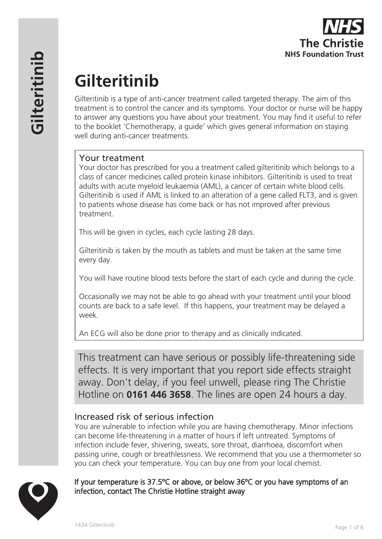

# **Gilteritinib**

Gilteritinib is a type of anti-cancer treatment called targeted therapy. The aim of this treatment is to control the cancer and its symptoms. Your doctor or nurse will be happy to answer any questions you have about your treatment. You may find it useful to refer to the booklet 'Chemotherapy, a guide' which gives general information on staying well during anti-cancer treatments.

# Your treatment

Your doctor has prescribed for you a treatment called gilteritinib which belongs to a class of cancer medicines called protein kinase inhibitors. Gilteritinib is used to treat adults with acute myeloid leukaemia (AML), a cancer of certain white blood cells. Gilteritinib is used if AML is linked to an alteration of a gene called FLT3, and is given to patients whose disease has come back or has not improved after previous treatment.

This will be given in cycles, each cycle lasting 28 days.

Gilteritinib is taken by the mouth as tablets and must be taken at the same time every day.

You will have routine blood tests before the start of each cycle and during the cycle.

Occasionally we may not be able to go ahead with your treatment until your blood counts are back to a safe level. If this happens, your treatment may be delayed a week.

An ECG will also be done prior to therapy and as clinically indicated.

This treatment can have serious or possibly life-threatening side effects. It is very important that you report side effects straight away. Don't delay, if you feel unwell, please ring The Christie Hotline on **0161 446 3658**. The lines are open 24 hours a day.

# Increased risk of serious infection

You are vulnerable to infection while you are having chemotherapy. Minor infections can become life-threatening in a matter of hours if left untreated. Symptoms of infection include fever, shivering, sweats, sore throat, diarrhoea, discomfort when passing urine, cough or breathlessness. We recommend that you use a thermometer so you can check your temperature. You can buy one from your local chemist.

#### If your temperature is 37.5ºC or above, or below 36ºC or you have symptoms of an infection, contact The Christie Hotline straight away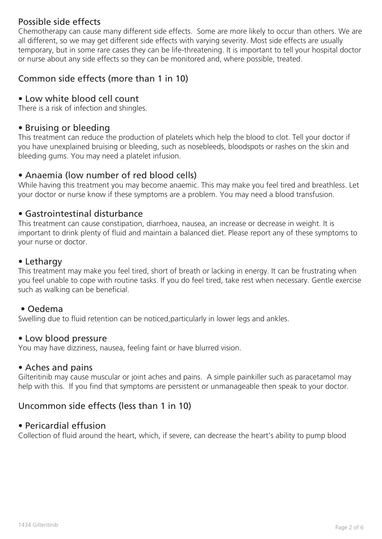# Possible side effects

Chemotherapy can cause many different side effects. Some are more likely to occur than others. We are all different, so we may get different side effects with varying severity. Most side effects are usually temporary, but in some rare cases they can be life-threatening. It is important to tell your hospital doctor or nurse about any side effects so they can be monitored and, where possible, treated.

# Common side effects (more than 1 in 10)

### • Low white blood cell count

There is a risk of infection and shingles.

#### • Bruising or bleeding

This treatment can reduce the production of platelets which help the blood to clot. Tell your doctor if you have unexplained bruising or bleeding, such as nosebleeds, bloodspots or rashes on the skin and bleeding gums. You may need a platelet infusion.

#### • Anaemia (low number of red blood cells)

While having this treatment you may become anaemic. This may make you feel tired and breathless. Let your doctor or nurse know if these symptoms are a problem. You may need a blood transfusion.

#### • Gastrointestinal disturbance

This treatment can cause constipation, diarrhoea, nausea, an increase or decrease in weight. It is important to drink plenty of fluid and maintain a balanced diet. Please report any of these symptoms to your nurse or doctor.

#### • Lethargy

This treatment may make you feel tired, short of breath or lacking in energy. It can be frustrating when you feel unable to cope with routine tasks. If you do feel tired, take rest when necessary. Gentle exercise such as walking can be beneficial.

#### • Oedema

Swelling due to fluid retention can be noticed,particularly in lower legs and ankles.

#### • Low blood pressure

You may have dizziness, nausea, feeling faint or have blurred vision.

#### • Aches and pains

Gilteritinib may cause muscular or joint aches and pains. A simple painkiller such as paracetamol may help with this. If you find that symptoms are persistent or unmanageable then speak to your doctor.

#### Uncommon side effects (less than 1 in 10)

#### • Pericardial effusion

Collection of fluid around the heart, which, if severe, can decrease the heart's ability to pump blood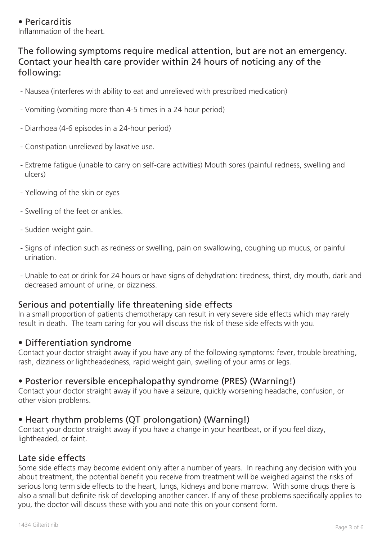#### • Pericarditis Inflammation of the heart.

# The following symptoms require medical attention, but are not an emergency. Contact your health care provider within 24 hours of noticing any of the following:

- Nausea (interferes with ability to eat and unrelieved with prescribed medication)
- Vomiting (vomiting more than 4-5 times in a 24 hour period)
- Diarrhoea (4-6 episodes in a 24-hour period)
- Constipation unrelieved by laxative use.
- Extreme fatigue (unable to carry on self-care activities) Mouth sores (painful redness, swelling and ulcers)
- Yellowing of the skin or eyes
- Swelling of the feet or ankles.
- Sudden weight gain.
- Signs of infection such as redness or swelling, pain on swallowing, coughing up mucus, or painful urination.
- Unable to eat or drink for 24 hours or have signs of dehydration: tiredness, thirst, dry mouth, dark and decreased amount of urine, or dizziness.

#### Serious and potentially life threatening side effects

In a small proportion of patients chemotherapy can result in very severe side effects which may rarely result in death. The team caring for you will discuss the risk of these side effects with you.

#### • Differentiation syndrome

Contact your doctor straight away if you have any of the following symptoms: fever, trouble breathing, rash, dizziness or lightheadedness, rapid weight gain, swelling of your arms or legs.

#### • Posterior reversible encephalopathy syndrome (PRES) (Warning!)

Contact your doctor straight away if you have a seizure, quickly worsening headache, confusion, or other vision problems.

# • Heart rhythm problems (QT prolongation) (Warning!)

Contact your doctor straight away if you have a change in your heartbeat, or if you feel dizzy, lightheaded, or faint.

#### Late side effects

Some side effects may become evident only after a number of years. In reaching any decision with you about treatment, the potential benefit you receive from treatment will be weighed against the risks of serious long term side effects to the heart, lungs, kidneys and bone marrow. With some drugs there is also a small but definite risk of developing another cancer. If any of these problems specifically applies to you, the doctor will discuss these with you and note this on your consent form.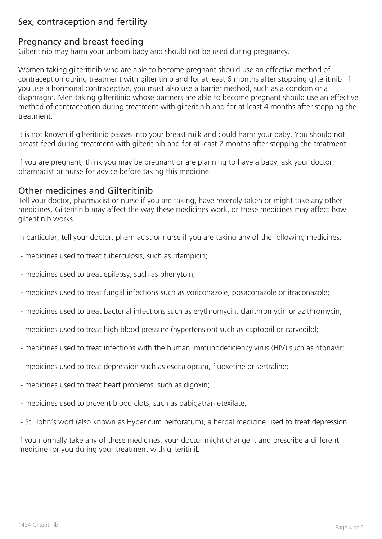# Sex, contraception and fertility

### Pregnancy and breast feeding

Gilteritinib may harm your unborn baby and should not be used during pregnancy.

Women taking gilteritinib who are able to become pregnant should use an effective method of contraception during treatment with gilteritinib and for at least 6 months after stopping gilteritinib. If you use a hormonal contraceptive, you must also use a barrier method, such as a condom or a diaphragm. Men taking gilteritinib whose partners are able to become pregnant should use an effective method of contraception during treatment with gilteritinib and for at least 4 months after stopping the treatment.

It is not known if gilteritinib passes into your breast milk and could harm your baby. You should not breast-feed during treatment with gilteritinib and for at least 2 months after stopping the treatment.

If you are pregnant, think you may be pregnant or are planning to have a baby, ask your doctor, pharmacist or nurse for advice before taking this medicine.

#### Other medicines and Gilteritinib

Tell your doctor, pharmacist or nurse if you are taking, have recently taken or might take any other medicines. Gilteritinib may affect the way these medicines work, or these medicines may affect how gilteritinib works.

In particular, tell your doctor, pharmacist or nurse if you are taking any of the following medicines:

- medicines used to treat tuberculosis, such as rifampicin;
- medicines used to treat epilepsy, such as phenytoin;
- medicines used to treat fungal infections such as voriconazole, posaconazole or itraconazole;
- medicines used to treat bacterial infections such as erythromycin, clarithromycin or azithromycin;
- medicines used to treat high blood pressure (hypertension) such as captopril or carvedilol;
- medicines used to treat infections with the human immunodeficiency virus (HIV) such as ritonavir;
- medicines used to treat depression such as escitalopram, fluoxetine or sertraline;
- medicines used to treat heart problems, such as digoxin;
- medicines used to prevent blood clots, such as dabigatran etexilate;
- St. John's wort (also known as Hypericum perforatum), a herbal medicine used to treat depression.

If you normally take any of these medicines, your doctor might change it and prescribe a different medicine for you during your treatment with gilteritinib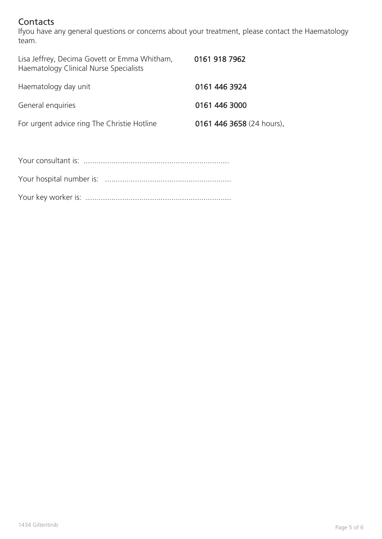# **Contacts**

Ifyou have any general questions or concerns about your treatment, please contact the Haematology team.

| 0161 918 7962             |
|---------------------------|
| 0161 446 3924             |
| 0161 446 3000             |
| 0161 446 3658 (24 hours). |
|                           |

Your key worker is: ....................................................................